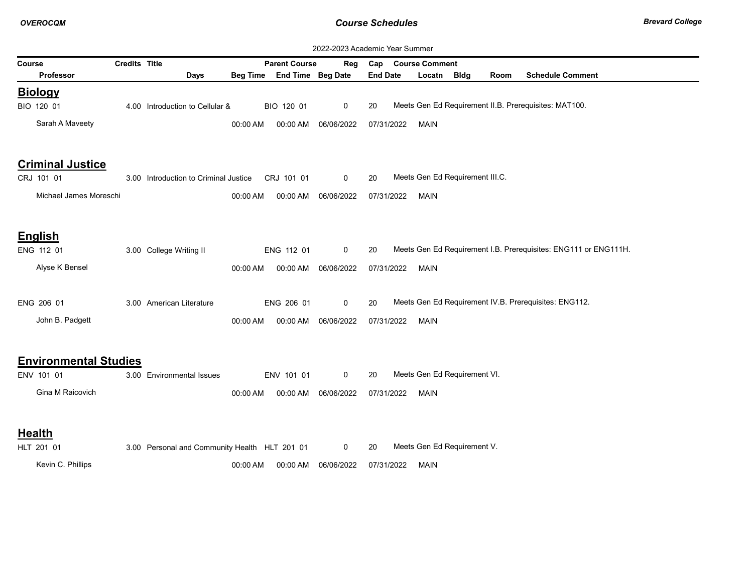| 2022-2023 Academic Year Summer |               |                                               |          |                            |                      |                                                                       |
|--------------------------------|---------------|-----------------------------------------------|----------|----------------------------|----------------------|-----------------------------------------------------------------------|
| Course                         | Credits Title |                                               |          | <b>Parent Course</b>       | Reg                  | <b>Course Comment</b><br>Cap                                          |
| <b>Professor</b>               |               | <b>Days</b>                                   |          | Beg Time End Time Beg Date |                      | <b>Schedule Comment</b><br><b>End Date</b><br>Locatn<br>Bldg<br>Room  |
| <b>Biology</b>                 |               |                                               |          |                            |                      |                                                                       |
| BIO 120 01                     |               | 4.00 Introduction to Cellular &               |          | BIO 120 01                 | 0                    | Meets Gen Ed Requirement II.B. Prerequisites: MAT100.<br>20           |
| Sarah A Maveety                |               |                                               | 00:00 AM | 00:00 AM                   | 06/06/2022           | 07/31/2022<br><b>MAIN</b>                                             |
| <b>Criminal Justice</b>        |               |                                               |          |                            |                      |                                                                       |
| CRJ 101 01                     |               | 3.00 Introduction to Criminal Justice         |          | CRJ 101 01                 | 0                    | Meets Gen Ed Requirement III.C.<br>20                                 |
| Michael James Moreschi         |               |                                               | 00:00 AM | 00:00 AM                   | 06/06/2022           | 07/31/2022<br><b>MAIN</b>                                             |
| <b>English</b>                 |               |                                               |          |                            |                      |                                                                       |
| ENG 112 01                     |               | 3.00 College Writing II                       |          | ENG 112 01                 | 0                    | Meets Gen Ed Requirement I.B. Prerequisites: ENG111 or ENG111H.<br>20 |
| Alyse K Bensel                 |               |                                               | 00:00 AM | 00:00 AM                   | 06/06/2022           | 07/31/2022<br><b>MAIN</b>                                             |
| ENG 206 01                     |               | 3.00 American Literature                      |          | ENG 206 01                 | 0                    | Meets Gen Ed Requirement IV.B. Prerequisites: ENG112.<br>20           |
| John B. Padgett                |               |                                               | 00:00 AM | 00:00 AM                   | 06/06/2022           | 07/31/2022<br><b>MAIN</b>                                             |
| <b>Environmental Studies</b>   |               |                                               |          |                            |                      |                                                                       |
| ENV 101 01                     |               | 3.00 Environmental Issues                     |          | ENV 101 01                 | 0                    | Meets Gen Ed Requirement VI.<br>20                                    |
| Gina M Raicovich               |               |                                               | 00:00 AM |                            | 00:00 AM  06/06/2022 | 07/31/2022<br><b>MAIN</b>                                             |
| <b>Health</b>                  |               |                                               |          |                            |                      |                                                                       |
| HLT 201 01                     |               | 3.00 Personal and Community Health HLT 201 01 |          |                            | 0                    | Meets Gen Ed Requirement V.<br>20                                     |
| Kevin C. Phillips              |               |                                               | 00:00 AM | 00:00 AM                   | 06/06/2022           | 07/31/2022<br><b>MAIN</b>                                             |